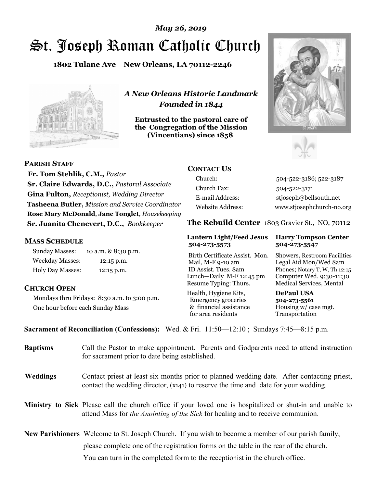# St. Joseph Roman Catholic Church *May 26, 2019*

**1802 Tulane Ave New Orleans, LA 70112-2246**



*A New Orleans Historic Landmark Founded in 1844* 

**Entrusted to the pastoral care of the Congregation of the Mission (Vincentians) since 1858**.





**PARISH STAFF**

 **Fr. Tom Stehlik, C.M.,** *Pastor* **Sr. Claire Edwards, D.C.,** *Pastoral Associate* **Gina Fulton,** *Receptionist, Wedding Director* **Tasheena Butler,** *Mission and Service Coordinator* **Rose Mary McDonald**, **Jane Tonglet**, *Housekeeping* **Sr. Juanita Chenevert, D.C.,** *Bookkeeper* 

# **MASS SCHEDULE**

Sunday Masses: 10 a.m. & 8:30 p.m. Weekday Masses: 12:15 p.m. Holy Day Masses: 12:15 p.m.

# **CHURCH OPEN**

Mondays thru Fridays: 8:30 a.m. to 3:00 p.m. One hour before each Sunday Mass

# **CONTACT US**

Church: 504-522-3186; 522-3187 Church Fax: 504-522-3171 E-mail Address: stjoseph@bellsouth.net Website Address: www.stjosephchurch-no.org

**The Rebuild Center** 1803 Gravier St., NO, 70112

#### **Lantern Light/Feed Jesus Harry Tompson Center 504-273-5573 504-273-5547**

Birth Certificate Assist. Mon. Showers, Restroom Facilities Mail, M-F 9-10 am Legal Aid Mon/Wed 8am ID Assist. Tues. 8am Phones; Notary T, W, Th 12:15 Lunch—Daily M-F 12:45 pm Computer Wed. 9:30-11:30 Resume Typing: Thurs. Medical Services, Mental

Health, Hygiene Kits, **DePaul USA**  Emergency groceries **504-273-5561** & financial assistance Housing w/ case mgt.<br>for area residents Transportation for area residents

**Sacrament of Reconciliation (Confessions):** Wed. & Fri. 11:50—12:10 ; Sundays 7:45—8:15 p.m.

| <b>Baptisms</b> | Call the Pastor to make appointment. Parents and Godparents need to attend instruction<br>for sacrament prior to date being established.                                                            |  |
|-----------------|-----------------------------------------------------------------------------------------------------------------------------------------------------------------------------------------------------|--|
| <b>Weddings</b> | Contact priest at least six months prior to planned wedding date. After contacting priest,<br>contact the wedding director, (x141) to reserve the time and date for your wedding.                   |  |
|                 | Ministry to Sick Please call the church office if your loved one is hospitalized or shut-in and unable to<br>attend Mass for <i>the Anointing of the Sick</i> for healing and to receive communion. |  |
|                 | <b>New Parishioners</b> Welcome to St. Joseph Church. If you wish to become a member of our parish family,                                                                                          |  |
|                 | please complete one of the registration forms on the table in the rear of the church.                                                                                                               |  |
|                 | You can turn in the completed form to the receptionist in the church office.                                                                                                                        |  |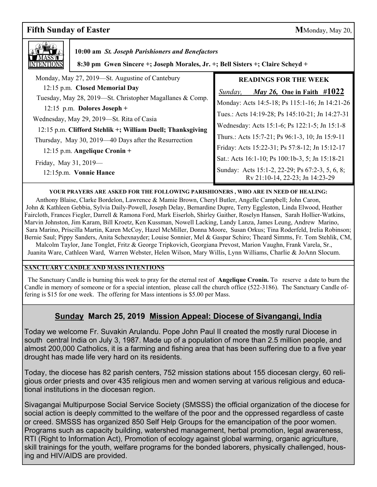# **Fifth Sunday of Easter** MMonday, May 20,



 **10:00 am** *St. Joseph Parishioners and Benefactors*

 **8:30 pm Gwen Sincere +; Joseph Morales, Jr. +; Bell Sisters +; Claire Scheyd +**

| Monday, May 27, 2019—St. Augustine of Cantebury            | <b>READINGS FOR THE WEEK</b>                                                       |
|------------------------------------------------------------|------------------------------------------------------------------------------------|
| 12:15 p.m. Closed Memorial Day                             | <i>May 26,</i> One in Faith $\#1022$<br>Sunday,                                    |
| Tuesday, May 28, 2019—St. Christopher Magallanes & Comp.   | Monday: Acts 14:5-18; Ps 115:1-16; Jn 14:21-26                                     |
| 12:15 p.m. Dolores Joseph +                                |                                                                                    |
| Wednesday, May 29, 2019—St. Rita of Casia                  | Tues.: Acts 14:19-28; Ps 145:10-21; Jn 14:27-31                                    |
| 12:15 p.m. Clifford Stehlik +; William Duell; Thanksgiving | Wednesday: Acts 15:1-6; Ps 122:1-5; Jn 15:1-8                                      |
| Thursday, May 30, 2019—40 Days after the Resurrection      | Thurs.: Acts 15:7-21; Ps 96:1-3, 10; Jn 15:9-11                                    |
| 12:15 p.m. Angelique Cronin +                              | Friday: Acts 15:22-31; Ps 57:8-12; Jn 15:12-17                                     |
|                                                            | Sat.: Acts 16:1-10; Ps 100:1b-3, 5; Jn 15:18-21                                    |
| Friday, May 31, 2019-<br>12:15p.m. Vonnie Hance            | Sunday: Acts 15:1-2, 22-29; Ps 67:2-3, 5, 6, 8;<br>Rv 21:10-14, 22-23; Jn 14:23-29 |

**YOUR PRAYERS ARE ASKED FOR THE FOLLOWING PARISHIONERS , WHO ARE IN NEED OF HEALING:** 

 Anthony Blaise, Clarke Bordelon, Lawrence & Mamie Brown, Cheryl Butler, Angelle Campbell; John Caron, John & Kathleen Gebbia, Sylvia Daily-Powell, Joseph Delay, Bernardine Dupre, Terry Eggleston, Linda Elwood, Heather Faircloth, Frances Fiegler, Darrell & Ramona Ford, Mark Eiserloh, Shirley Gaither, Roselyn Hansen, Sarah Hollier-Watkins, Marvin Johnston, Jim Karam, Bill Kroetz, Ken Kussman, Nowell Lacking, Landy Lanza, James Leung, Andrew Marino, Sara Marino, Priscilla Martin, Karen McCoy, Hazel McMiller, Donna Moore, Susan Orkus; Tina Roderfeld, Irelia Robinson; Bernie Saul; Pippy Sanders, Anita Schexnayder; Louise Sonnier, Mel & Gaspar Schiro; Theard Simms, Fr. Tom Stehlik, CM, Malcolm Taylor, Jane Tonglet, Fritz & George Tripkovich, Georgiana Prevost, Marion Vaughn, Frank Varela, Sr.,

Juanita Ware, Cathleen Ward, Warren Webster, Helen Wilson, Mary Willis, Lynn Williams, Charlie & JoAnn Slocum.

### **SANCTUARY CANDLE AND MASS INTENTIONS**

 The Sanctuary Candle is burning this week to pray for the eternal rest of **Angelique Cronin.** To reserve a date to burn the Candle in memory of someone or for a special intention, please call the church office (522-3186). The Sanctuary Candle offering is \$15 for one week. The offering for Mass intentions is \$5.00 per Mass.

# **Sunday March 25, 2019 Mission Appeal: Diocese of Sivangangi, India**

 south central India on July 3, 1987. Made up of a population of more than 2.5 million people, and Today we welcome Fr. Suvakin Arulandu. Pope John Paul II created the mostly rural Diocese in almost 200,000 Catholics, it is a farming and fishing area that has been suffering due to a five year drought has made life very hard on its residents.

Today, the diocese has 82 parish centers, 752 mission stations about 155 diocesan clergy, 60 religious order priests and over 435 religious men and women serving at various religious and educational institutions in the diocesan region.

Sivagangai Multipurpose Social Service Society (SMSSS) the official organization of the diocese for social action is deeply committed to the welfare of the poor and the oppressed regardless of caste or creed. SMSSS has organized 850 Self Help Groups for the emancipation of the poor women. Programs such as capacity building, watershed management, herbal promotion, legal awareness, RTI (Right to Information Act), Promotion of ecology against global warming, organic agriculture, skill trainings for the youth, welfare programs for the bonded laborers, physically challenged, housing and HIV/AIDS are provided.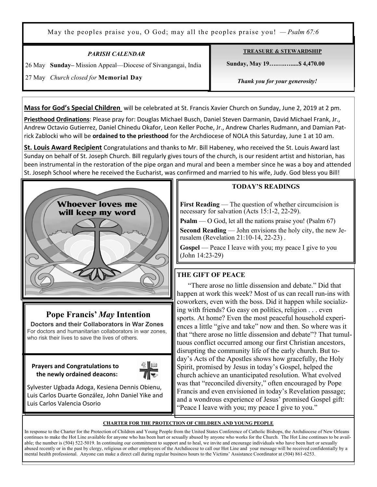May the peoples praise you, O God; may all the peoples praise you! *— Psalm 67:6*

# *PARISH CALENDAR*

26 May **Sunday–** Mission Appeal—Diocese of Sivangangai, India

### **TREASURE & STEWARDSHIP**

 **Sunday, May 19….….….....\$ 4,470.00** 

27 May *Church closed for* **Memorial Day**

Ξ

 *Thank you for your generosity!* 

**Mass for God's Special Children** will be celebrated at St. Francis Xavier Church on Sunday, June 2, 2019 at 2 pm.

**Priesthood Ordinations**: Please pray for: Douglas Michael Busch, Daniel Steven Darmanin, David Michael Frank, Jr., Andrew Octavio Gutierrez, Daniel Chinedu Okafor, Leon Keller Poche, Jr., Andrew Charles Rudmann, and Damian Patrick Zablocki who will be **ordained to the priesthood** for the Archdiocese of NOLA this Saturday, June 1 at 10 am.

**St. Louis Award Recipient** Congratulations and thanks to Mr. Bill Habeney, who received the St. Louis Award last Sunday on behalf of St. Joseph Church. Bill regularly gives tours of the church, is our resident artist and historian, has been instrumental in the restoration of the pipe organ and mural and been a member since he was a boy and attended St. Joseph School where he received the Eucharist, was confirmed and married to his wife, Judy. God bless you Bill!



# **Pope Francis'** *May* **Intention**

 **Doctors and their Collaborators in War Zones** For doctors and humanitarian collaborators in war zones, who risk their lives to save the lives of others.

 **Prayers and Congratulations to the newly ordained deacons:** 



Sylvester Ugbada Adoga, Kesiena Dennis Obienu, Luis Carlos Duarte González, John Daniel Yike and Luis Carlos Valencia Osorio

### **TODAY'S READINGS**

**First Reading** — The question of whether circumcision is necessary for salvation (Acts 15:1-2, 22-29).

**Psalm** — O God, let all the nations praise you! (Psalm 67)

**Second Reading** — John envisions the holy city, the new Jerusalem (Revelation 21:10-14, 22-23) .

**Gospel** — Peace I leave with you; my peace I give to you (John 14:23-29)

## **THE GIFT OF PEACE**

 "There arose no little dissension and debate." Did that happen at work this week? Most of us can recall run-ins with coworkers, even with the boss. Did it happen while socializing with friends? Go easy on politics, religion . . . even sports. At home? Even the most peaceful household experiences a little "give and take" now and then. So where was it that "there arose no little dissension and debate"? That tumultuous conflict occurred among our first Christian ancestors, disrupting the community life of the early church. But today's Acts of the Apostles shows how gracefully, the Holy Spirit, promised by Jesus in today's Gospel, helped the church achieve an unanticipated resolution. What evolved was that "reconciled diversity," often encouraged by Pope Francis and even envisioned in today's Revelation passage; and a wondrous experience of Jesus' promised Gospel gift: "Peace I leave with you; my peace I give to you."

### **CHARTER FOR THE PROTECTION OF CHILDREN AND YOUNG PEOPLE**

In response to the Charter for the Protection of Children and Young People from the United States Conference of Catholic Bishops, the Archdiocese of New Orleans continues to make the Hot Line available for anyone who has been hurt or sexually abused by anyone who works for the Church. The Hot Line continues to be available; the number is (504) 522-5019. In continuing our commitment to support and to heal, we invite and encourage individuals who have been hurt or sexually abused recently or in the past by clergy, religious or other employees of the Archdiocese to call our Hot Line and your message will be received confidentially by a mental health professional. Anyone can make a direct call during regular business hours to the Victims' Assistance Coordinator at (504) 861-6253.